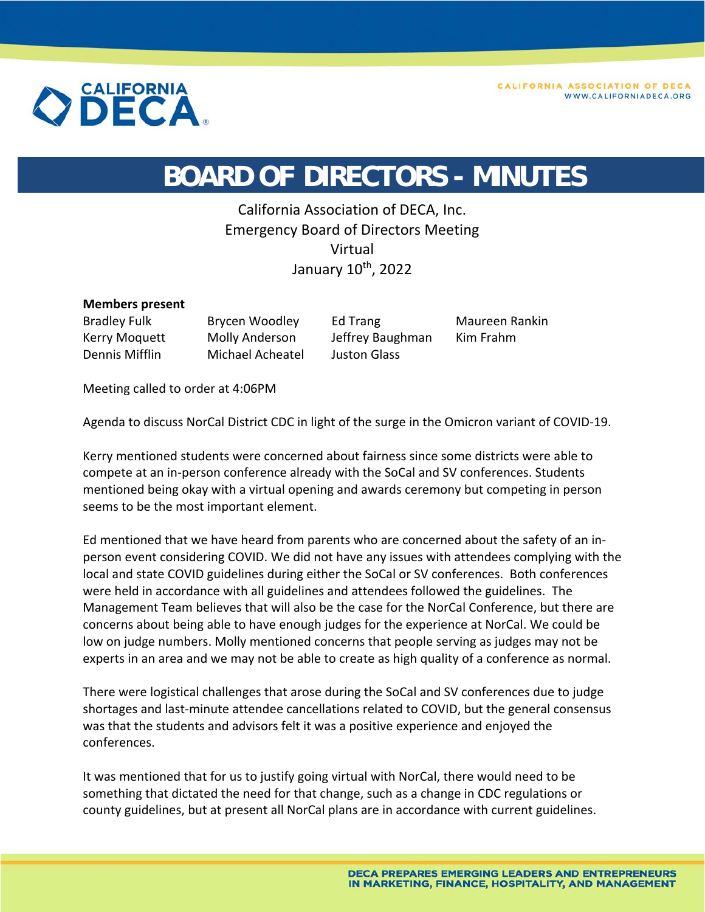

## **BOARD OF DIRECTORS - MINUTES**

California Association of DECA, Inc. Emergency Board of Directors Meeting Virtual January 10<sup>th</sup>, 2022

## **Members present**

Dennis Mifflin Michael Acheatel Juston Glass

Bradley Fulk Brycen Woodley Ed Trang Maureen Rankin Kerry Moquett Molly Anderson Jeffrey Baughman Kim Frahm

Meeting called to order at 4:06PM

Agenda to discuss NorCal District CDC in light of the surge in the Omicron variant of COVID‐19.

Kerry mentioned students were concerned about fairness since some districts were able to compete at an in‐person conference already with the SoCal and SV conferences. Students mentioned being okay with a virtual opening and awards ceremony but competing in person seems to be the most important element.

Ed mentioned that we have heard from parents who are concerned about the safety of an in‐ person event considering COVID. We did not have any issues with attendees complying with the local and state COVID guidelines during either the SoCal or SV conferences. Both conferences were held in accordance with all guidelines and attendees followed the guidelines. The Management Team believes that will also be the case for the NorCal Conference, but there are concerns about being able to have enough judges for the experience at NorCal. We could be low on judge numbers. Molly mentioned concerns that people serving as judges may not be experts in an area and we may not be able to create as high quality of a conference as normal.

There were logistical challenges that arose during the SoCal and SV conferences due to judge shortages and last-minute attendee cancellations related to COVID, but the general consensus was that the students and advisors felt it was a positive experience and enjoyed the conferences.

It was mentioned that for us to justify going virtual with NorCal, there would need to be something that dictated the need for that change, such as a change in CDC regulations or county guidelines, but at present all NorCal plans are in accordance with current guidelines.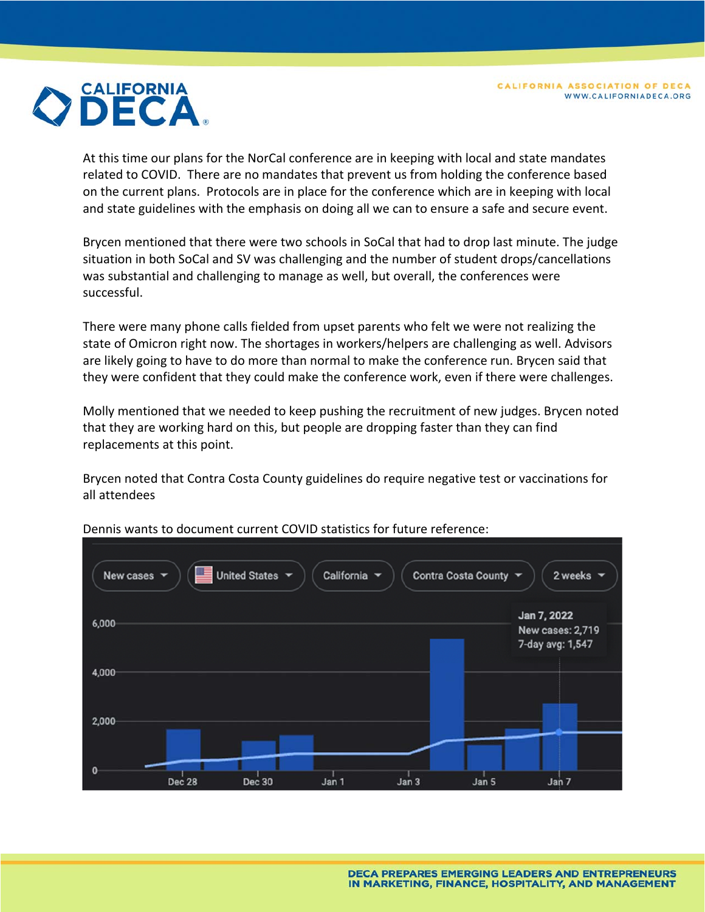

At this time our plans for the NorCal conference are in keeping with local and state mandates related to COVID. There are no mandates that prevent us from holding the conference based on the current plans. Protocols are in place for the conference which are in keeping with local and state guidelines with the emphasis on doing all we can to ensure a safe and secure event.

Brycen mentioned that there were two schools in SoCal that had to drop last minute. The judge situation in both SoCal and SV was challenging and the number of student drops/cancellations was substantial and challenging to manage as well, but overall, the conferences were successful.

There were many phone calls fielded from upset parents who felt we were not realizing the state of Omicron right now. The shortages in workers/helpers are challenging as well. Advisors are likely going to have to do more than normal to make the conference run. Brycen said that they were confident that they could make the conference work, even if there were challenges.

Molly mentioned that we needed to keep pushing the recruitment of new judges. Brycen noted that they are working hard on this, but people are dropping faster than they can find replacements at this point.

Brycen noted that Contra Costa County guidelines do require negative test or vaccinations for all attendees



Dennis wants to document current COVID statistics for future reference: